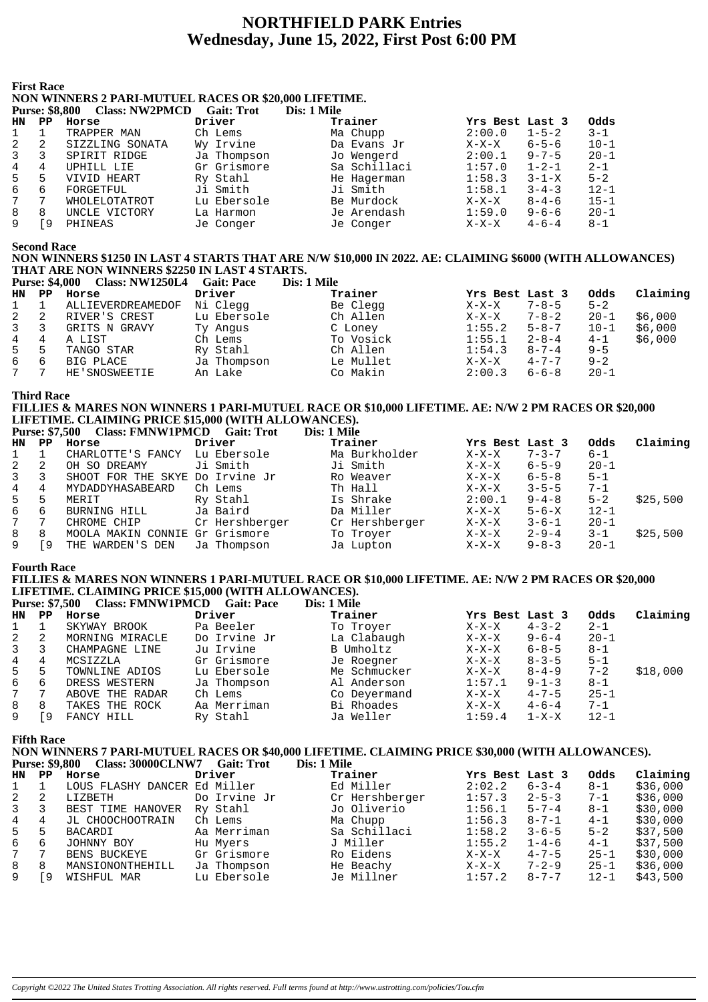# **NORTHFIELD PARK Entries** Wednesday, June 15, 2022, First Post 6:00 PM

#### **First Race**

#### NON WINNERS 2 PARI-MUTUEL RACES OR \$20,000 LIFETIME.  $D_{\text{trunc}}$ , ¢0.000  $C_{\text{loss}}$ , NW/2DM $C$ D  $C_0$ it. Trot  $D_{22}$ , 1 M

|    | Purse: 58.800 | <b>Class: NWZPMCD</b> | Gait: Trot  | Dis: 1 Mile  |                 |             |          |
|----|---------------|-----------------------|-------------|--------------|-----------------|-------------|----------|
| HN | $_{\rm PP}$   | Horse                 | Driver      | Trainer      | Yrs Best Last 3 |             | Odds     |
|    |               | TRAPPER MAN           | Ch Lems     | Ma Chupp     | 2:00.0          | $1 - 5 - 2$ | $3 - 1$  |
|    | 2             | SIZZLING SONATA       | Wy Irvine   | Da Evans Jr  | $X-X-X$         | $6 - 5 - 6$ | $10 - 1$ |
|    | 3             | SPIRIT RIDGE          | Ja Thompson | Jo Wengerd   | 2:00.1          | $9 - 7 - 5$ | $20 - 1$ |
| 4  | 4             | UPHILL LIE            | Gr Grismore | Sa Schillaci | 1:57.0          | $1 - 2 - 1$ | $2 - 1$  |
| 5. | 5             | VIVID HEART           | Ry Stahl    | He Hagerman  | 1:58.3          | $3 - 1 - X$ | $5 - 2$  |
| 6  | 6             | FORGETFUL             | Ji Smith    | Ji Smith     | 1:58.1          | $3 - 4 - 3$ | $12 - 1$ |
|    | 7             | WHOLELOTATROT         | Lu Ebersole | Be Murdock   | $X-X-X$         | $8 - 4 - 6$ | $15 - 1$ |
| 8  | 8             | UNCLE VICTORY         | La Harmon   | Je Arendash  | 1:59.0          | $9 - 6 - 6$ | $20 - 1$ |
|    | ٥ ا           | PHINEAS               | Je Conger   | Je Conger    | $X-X-X$         | $4 - 6 - 4$ | $8-1$    |
|    |               |                       |             |              |                 |             |          |

**Second Race** 

## NON WINNERS \$1250 IN LAST 4 STARTS THAT ARE N/W \$10,000 IN 2022. AE: CLAIMING \$6000 (WITH ALLOWANCES) THAT ARE NON WINNERS \$2250 IN LAST 4 STARTS.

|                |                | <b>Class: NW1250L4</b><br><b>Purse: \$4,000</b> | <b>Gait: Pace</b> | Dis: 1 Mile |                 |             |          |          |
|----------------|----------------|-------------------------------------------------|-------------------|-------------|-----------------|-------------|----------|----------|
| HN.            | $\mathbf{PP}$  | Horse                                           | Driver            | Trainer     | Yrs Best Last 3 |             | Odds     | Claiming |
| 1              |                | ALLIEVERDREAMEDOF                               | Ni Clegg          | Be Clegg    | $X-X-X$         | $7 - 8 - 5$ | $5 - 2$  |          |
| 2              | 2              | RIVER'S CREST                                   | Lu Ebersole       | Ch Allen    | $X-X-X$         | $7 - 8 - 2$ | $20 - 1$ | \$6,000  |
| $\overline{3}$ | -3             | GRITS N GRAVY                                   | Ty Angus          | C Loney     | 1:55.2          | $5 - 8 - 7$ | $10 - 1$ | \$6,000  |
| 4              | 4              | A LIST                                          | Ch Lems           | To Vosick   | 1:55.1          | $2 - 8 - 4$ | $4 - 1$  | \$6,000  |
| 5              | -5             | TANGO STAR                                      | Ry Stahl          | Ch Allen    | 1:54.3          | $8 - 7 - 4$ | $9 - 5$  |          |
| 6              | 6              | BIG PLACE                                       | Ja Thompson       | Le Mullet   | $X-X-X$         | $4 - 7 - 7$ | $9 - 2$  |          |
| 7              | $7\phantom{0}$ | HE'SNOSWEETIE                                   | An Lake           | Co Makin    | 2:00.3          | $6 - 6 - 8$ | $20 - 1$ |          |

**Third Race** 

#### FILLIES & MARES NON WINNERS 1 PARI-MUTUEL RACE OR \$10,000 LIFETIME. AE: N/W 2 PM RACES OR \$20,000 LIFETIME. CLAIMING PRICE \$15,000 (WITH ALLOWANCES). Purse: \$7.500 Class: FMNW1PMCD Gait: Trot Die: 1 Mile

|    |     | Turst. Who Chass. ENTITY IT MCD Gail. True |                | <i>DIS. 1 MIR</i> |                 |             |          |          |
|----|-----|--------------------------------------------|----------------|-------------------|-----------------|-------------|----------|----------|
| HN | PP. | Horse                                      | Driver         | Trainer           | Yrs Best Last 3 |             | Odds     | Claiming |
|    |     | CHARLOTTE'S FANCY                          | Lu Ebersole    | Ma Burkholder     | $X-X-X$         | $7 - 3 - 7$ | $6 - 1$  |          |
| 2  |     | OH SO DREAMY                               | Ji Smith       | Ji Smith          | $X-X-X$         | $6 - 5 - 9$ | $20 - 1$ |          |
| 3  |     | SHOOT FOR THE SKYE Do Irvine Jr            |                | Ro Weaver         | $X-X-X$         | $6 - 5 - 8$ | $5 - 1$  |          |
| 4  | 4   | MYDADDYHASABEARD                           | Ch Lems        | Th Hall           | $X-X-X$         | $3 - 5 - 5$ | $7 - 1$  |          |
| 5  | 5   | MERIT                                      | Ry Stahl       | Is Shrake         | 2:00.1          | $9 - 4 - 8$ | $5 - 2$  | \$25,500 |
| 6  | 6   | BURNING HILL                               | Ja Baird       | Da Miller         | $X-X-X$         | $5 - 6 - X$ | $12 - 1$ |          |
| 7  |     | CHROME CHIP                                | Cr Hershberger | Cr Hershberger    | X-X-X           | $3 - 6 - 1$ | $20 - 1$ |          |
| 8  | 8   | MOOLA MAKIN CONNIE Gr Grismore             |                | To Troyer         | $X-X-X$         | $2 - 9 - 4$ | $3 - 1$  | \$25,500 |
| 9  | 9   | THE WARDEN'S DEN                           | Ja Thompson    | Ja Lupton         | $X-X-X$         | $9 - 8 - 3$ | $20 - 1$ |          |
|    |     |                                            |                |                   |                 |             |          |          |

## **Fourth Race**

#### FILLIES & MARES NON WINNERS 1 PARI-MUTUEL RACE OR \$10,000 LIFETIME. AE: N/W 2 PM RACES OR \$20,000 LIFETIME. CLAIMING PRICE \$15,000 (WITH ALLOWANCES). Close: EMNW1DM  $D_{\text{trunc}}$ ,  $\mathbf{\hat{z}}$  =  $\mathbf{\hat{z}}$  00  $x^2$

|     | <b>PULSE:</b> 31,500 | Class: FIVIIV WILL VICU Gall: Pace |              | DIS: 1 MHE   |                 |             |          |          |
|-----|----------------------|------------------------------------|--------------|--------------|-----------------|-------------|----------|----------|
| HN. | PP.                  | Horse                              | Driver       | Trainer      | Yrs Best Last 3 |             | Odds     | Claiming |
|     |                      | SKYWAY BROOK                       | Pa Beeler    | To Troyer    | $X-X-X$         | $4 - 3 - 2$ | $2 - 1$  |          |
| 2   |                      | MORNING MIRACLE                    | Do Irvine Jr | La Clabaugh  | $X-X-X$         | $9 - 6 - 4$ | $20 - 1$ |          |
| 3   |                      | CHAMPAGNE LINE                     | Ju Irvine    | B Umholtz    | X-X-X           | $6 - 8 - 5$ | $8 - 1$  |          |
| 4   | 4                    | MCSIZZLA                           | Gr Grismore  | Je Roegner   | $X-X-X$         | $8 - 3 - 5$ | $5 - 1$  |          |
| 5   | 5                    | TOWNLINE ADIOS                     | Lu Ebersole  | Me Schmucker | $X-X-X$         | $8 - 4 - 9$ | $7 - 2$  | \$18,000 |
| 6   | 6                    | DRESS WESTERN                      | Ja Thompson  | Al Anderson  | 1:57.1          | $9 - 1 - 3$ | $8 - 1$  |          |
| 7   |                      | ABOVE THE RADAR                    | Ch Lems      | Co Deyermand | $X-X-X$         | $4 - 7 - 5$ | $25 - 1$ |          |
| 8   | 8                    | TAKES THE ROCK                     | Aa Merriman  | Bi Rhoades   | $X-X-X$         | $4 - 6 - 4$ | $7 - 1$  |          |
| 9   | 9                    | FANCY HILL                         | Ry Stahl     | Ja Weller    | 1:59.4          | $1 - X - X$ | $12 - 1$ |          |

Je Millner

 $1:57.2$   $8-7-7$ 

Claiming  $$36,000$  $$36,000$ \$30,000 \$30,000  $$37,500$  $$37,500$  $$30,000$  $$36,000$ 

 $$43,500$ 

 $12 - 1$ 

**Fifth Race** 

 $\mathsf{Q}$ 

[9 WISHFUL MAR

NON WINNERS 7 PARI-MUTUEL RACES OR \$40,000 LIFETIME. CLAIMING PRICE \$30,000 (WITH ALLOWANCES).

|              |       | Purse: \$9,800 Class: 30000CLNW7 Gait: Trot |              | Dis: 1 Mile    |                        |          |
|--------------|-------|---------------------------------------------|--------------|----------------|------------------------|----------|
|              | HN PP | Horse                                       | Driver       | Trainer        | Yrs Best Last 3        | Odds     |
| $1 \quad$    |       | LOUS FLASHY DANCER Ed Miller                |              | Ed Miller      | 2:02.2<br>$6 - 3 - 4$  | $8 - 1$  |
| $\mathbf{2}$ | -2    | LIZBETH                                     | Do Irvine Jr | Cr Hershberger | 1:57.3<br>$2 - 5 - 3$  | $7 - 1$  |
| $3^{\circ}$  | 3     | BEST TIME HANOVER                           | Ry Stahl     | Jo Oliverio    | 1:56.1<br>$5 - 7 - 4$  | $8 - 1$  |
| $4 \quad$    | 4     | JL CHOOCHOOTRAIN                            | Ch Lems      | Ma Chupp       | 1:56.3<br>$8 - 7 - 1$  | $4 - 1$  |
| $5 -$        | 5     | BACARDI                                     | Aa Merriman  | Sa Schillaci   | 1:58.2<br>$3 - 6 - 5$  | $5 - 2$  |
| ნ —          | 6     | JOHNNY BOY                                  | Hu Myers     | J Miller       | $1 - 4 - 6$<br>1:55.2  | $4 - 1$  |
| 7            |       | BENS BUCKEYE                                | Gr Grismore  | Ro Eidens      | $4 - 7 - 5$<br>$X-X-X$ | $25 - 1$ |
| 8            | 8     | MANSIONONTHEHILL                            | Ja Thompson  | He Beachy      | $7 - 2 - 9$<br>$X-X-X$ | $25 - 1$ |

Lu Ebersole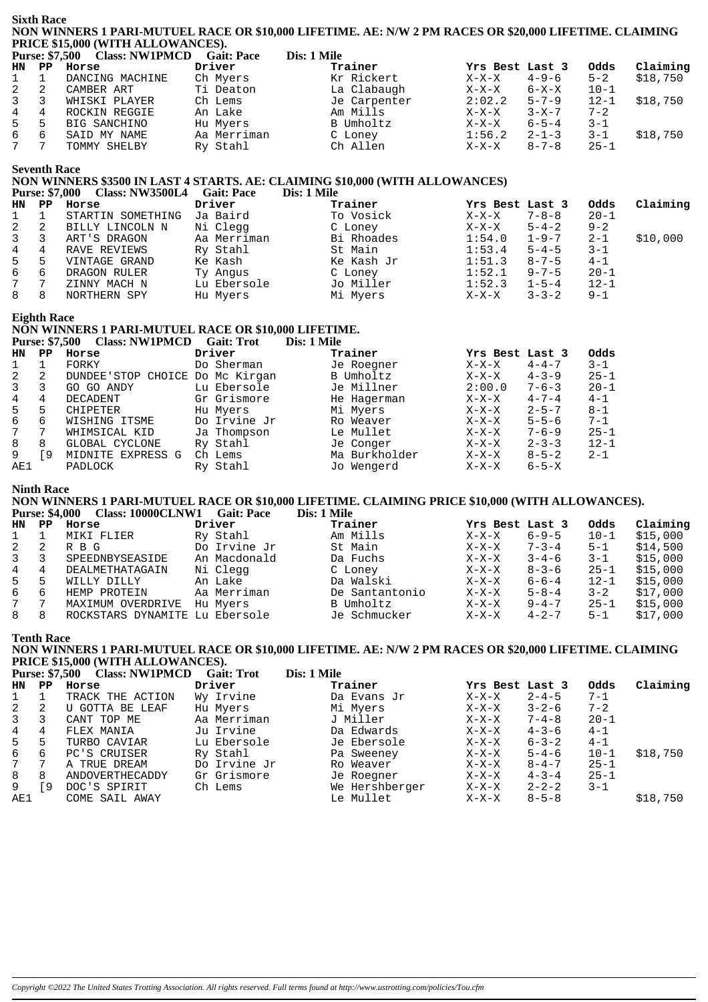|                 | <b>Sixth Race</b>     |                                                              |                        |             | NON WINNERS 1 PARI-MUTUEL RACE OR \$10,000 LIFETIME. AE: N/W 2 PM RACES OR \$20,000 LIFETIME. CLAIMING |                    |                            |                     |                      |
|-----------------|-----------------------|--------------------------------------------------------------|------------------------|-------------|--------------------------------------------------------------------------------------------------------|--------------------|----------------------------|---------------------|----------------------|
|                 |                       | PRICE \$15,000 (WITH ALLOWANCES).                            |                        |             |                                                                                                        |                    |                            |                     |                      |
|                 |                       | Purse: \$7,500 Class: NW1PMCD Gait: Pace                     |                        | Dis: 1 Mile |                                                                                                        |                    |                            |                     |                      |
| HN              | $_{\rm PP}$           | Horse                                                        | Driver                 |             | Trainer                                                                                                | Yrs Best Last 3    |                            | Odds                | Claiming             |
| 1<br>$\sqrt{2}$ | $\mathbf 1$<br>2      | DANCING MACHINE<br>CAMBER ART                                | Ch Myers<br>Ti Deaton  |             | Kr Rickert<br>La Clabaugh                                                                              | $X-X-X$<br>$X-X-X$ | $4 - 9 - 6$<br>6-X-X       | $5 - 2$<br>$10 - 1$ | \$18,750             |
| 3               | 3                     | WHISKI PLAYER                                                | Ch Lems                |             | Je Carpenter                                                                                           | 2:02.2             | $5 - 7 - 9$                | $12 - 1$            | \$18,750             |
| 4               | 4                     | ROCKIN REGGIE                                                | An Lake                |             | Am Mills                                                                                               | $X-X-X$            | $3 - X - 7$                | $7 - 2$             |                      |
| 5               | 5                     | BIG SANCHINO                                                 | Hu Myers               |             | B Umholtz                                                                                              | $X-X-X$            | $6 - 5 - 4$                | 3-1                 |                      |
| 6               | 6                     | SAID MY NAME                                                 | Aa Merriman            |             | C Loney                                                                                                | 1:56.2             | $2 - 1 - 3$                | $3 - 1$             | \$18,750             |
| 7               | 7                     | TOMMY SHELBY                                                 | Ry Stahl               |             | Ch Allen                                                                                               | $X-X-X$            | $8 - 7 - 8$                | $25 - 1$            |                      |
|                 |                       |                                                              |                        |             |                                                                                                        |                    |                            |                     |                      |
|                 | <b>Seventh Race</b>   |                                                              |                        |             | NON WINNERS \$3500 IN LAST 4 STARTS. AE: CLAIMING \$10,000 (WITH ALLOWANCES)                           |                    |                            |                     |                      |
|                 | <b>Purse: \$7,000</b> | Class: NW3500L4 Gait: Pace                                   |                        | Dis: 1 Mile |                                                                                                        |                    |                            |                     |                      |
| HN              | $_{\rm PP}$           | Horse                                                        | Driver                 |             | Trainer                                                                                                | Yrs Best Last 3    |                            | Odds                | Claiming             |
| 1               | 1                     | STARTIN SOMETHING                                            | Ja Baird               |             | To Vosick                                                                                              | $X-X-X$            | $7 - 8 - 8$                | $20 - 1$            |                      |
| 2               | 2                     | BILLY LINCOLN N                                              | Ni Clegg               |             | C Loney                                                                                                | $X-X-X$            | $5 - 4 - 2$                | $9 - 2$             |                      |
| 3               | 3                     | ART'S DRAGON                                                 | Aa Merriman            |             | Bi Rhoades                                                                                             | 1:54.0             | $1 - 9 - 7$                | 2-1                 | \$10,000             |
| $\overline{4}$  | 4                     | RAVE REVIEWS                                                 | Ry Stahl               |             | St Main                                                                                                | 1:53.4             | $5 - 4 - 5$                | $3 - 1$             |                      |
| 5               | 5                     | VINTAGE GRAND                                                | Ke Kash                |             | Ke Kash Jr                                                                                             | 1:51.3             | $8 - 7 - 5$                | $4 - 1$             |                      |
| $\epsilon$      | 6                     | DRAGON RULER                                                 | Ty Angus               |             | C Loney                                                                                                | 1:52.1             | $9 - 7 - 5$                | $20 - 1$            |                      |
| 7               | 7                     | ZINNY MACH N                                                 | Lu Ebersole            |             | Jo Miller                                                                                              | 1:52.3             | $1 - 5 - 4$                | $12 - 1$            |                      |
| 8               | 8                     | NORTHERN SPY                                                 | Hu Myers               |             | Mi Myers                                                                                               | $X-X-X$            | $3 - 3 - 2$                | $9 - 1$             |                      |
|                 |                       |                                                              |                        |             |                                                                                                        |                    |                            |                     |                      |
|                 | <b>Eighth Race</b>    | NON WINNERS 1 PARI-MUTUEL RACE OR \$10,000 LIFETIME.         |                        |             |                                                                                                        |                    |                            |                     |                      |
|                 |                       | Purse: \$7,500 Class: NW1PMCD Gait: Trot                     |                        | Dis: 1 Mile |                                                                                                        |                    |                            |                     |                      |
| HN              | $_{\rm PP}$           | Horse                                                        | Driver                 |             | Trainer                                                                                                | Yrs Best Last 3    |                            | Odds                |                      |
| 1               | 1                     | FORKY                                                        | Do Sherman             |             | Je Roegner                                                                                             | $X-X-X$            | $4 - 4 - 7$                | $3 - 1$             |                      |
| 2               | 2                     | DUNDEE'STOP CHOICE Do Mc Kirgan                              |                        |             | B Umholtz                                                                                              | $X-X-X$            | $4 - 3 - 9$                | $25 - 1$            |                      |
| 3               | 3                     | GO GO ANDY                                                   | Lu Ebersole            |             | Je Millner                                                                                             | 2:00.0             | $7 - 6 - 3$                | $20 - 1$            |                      |
| $\overline{4}$  | 4                     | DECADENT                                                     | Gr Grismore            |             | He Hagerman                                                                                            | $X-X-X$            | $4 - 7 - 4$                | $4 - 1$             |                      |
| 5               | 5                     | CHIPETER                                                     | Hu Myers               |             | Mi Myers                                                                                               | $X-X-X$            | $2 - 5 - 7$                | $8 - 1$             |                      |
| 6               | 6                     | WISHING ITSME                                                | Do Irvine Jr           |             | Ro Weaver                                                                                              | $X-X-X$            | $5 - 5 - 6$                | $7 - 1$             |                      |
| 7               | 7                     | WHIMSICAL KID                                                | Ja Thompson            |             | Le Mullet                                                                                              | $X-X-X$            | $7 - 6 - 9$                | $25 - 1$            |                      |
| 8               | 8                     | GLOBAL CYCLONE                                               | Ry Stahl               |             | Je Conger                                                                                              | $X-X-X$            | $2 - 3 - 3$                | $12 - 1$            |                      |
| 9               | [9                    | MIDNITE EXPRESS G                                            | Ch Lems                |             | Ma Burkholder                                                                                          | $X-X-X$            | $8 - 5 - 2$                | $2 - 1$             |                      |
| AE1             |                       | PADLOCK                                                      | Ry Stahl               |             | Jo Wengerd                                                                                             | $X-X-X$            | $6 - 5 - X$                |                     |                      |
|                 | <b>Ninth Race</b>     |                                                              |                        |             |                                                                                                        |                    |                            |                     |                      |
|                 |                       |                                                              |                        |             | NON WINNERS 1 PARI-MUTUEL RACE OR \$10,000 LIFETIME. CLAIMING PRICE \$10,000 (WITH ALLOWANCES).        |                    |                            |                     |                      |
|                 |                       | Purse: \$4,000 Class: 10000CLNW1 Gait: Pace                  |                        |             | Dis: 1 Mile                                                                                            |                    |                            |                     |                      |
| HN.             | $_{\rm PP}$           | Horse                                                        | Driver                 |             | Trainer                                                                                                | Yrs Best Last 3    |                            | Odds                | Claiming             |
| 1               | 1                     | MIKI FLIER                                                   | Ry Stahl               |             | Am Mills                                                                                               | $X-X-X$            | $6 - 9 - 5$                | $10 - 1$            | \$15,000             |
| 2               | 2                     | R B G                                                        | Do Irvine Jr           |             | St Main                                                                                                | $X-X-X$            | $7 - 3 - 4$                | $5 - 1$             | \$14,500             |
| 3               | 3                     | SPEEDNBYSEASIDE                                              | An Macdonald           |             | Da Fuchs                                                                                               | $X-X-X$            | $3 - 4 - 6$                | $3 - 1$             | \$15,000             |
| 4               | 4                     | DEALMETHATAGAIN                                              | Ni Clegg               |             | C Loney                                                                                                | $X-X-X$            | $8 - 3 - 6$                | $25 - 1$            | \$15,000             |
| 5               | 5                     | WILLY DILLY                                                  | An Lake                |             | Da Walski                                                                                              | $X-X-X$            | $6 - 6 - 4$                | $12 - 1$            | \$15,000             |
| 6<br>7          | 6<br>7                | HEMP PROTEIN                                                 | Aa Merriman            |             | De Santantonio<br>B Umholtz                                                                            | $X-X-X$            | $5 - 8 - 4$                | $3 - 2$<br>$25 - 1$ | \$17,000             |
| 8               | 8                     | MAXIMUM OVERDRIVE Hu Myers<br>ROCKSTARS DYNAMITE Lu Ebersole |                        |             | Je Schmucker                                                                                           | $X-X-X$<br>$X-X-X$ | 9-4-7<br>$4 - 2 - 7$       | 5-1                 | \$15,000<br>\$17,000 |
|                 |                       |                                                              |                        |             |                                                                                                        |                    |                            |                     |                      |
|                 | <b>Tenth Race</b>     |                                                              |                        |             |                                                                                                        |                    |                            |                     |                      |
|                 |                       |                                                              |                        |             | NON WINNERS 1 PARI-MUTUEL RACE OR \$10,000 LIFETIME. AE: N/W 2 PM RACES OR \$20,000 LIFETIME. CLAIMING |                    |                            |                     |                      |
|                 |                       | PRICE \$15,000 (WITH ALLOWANCES).                            |                        |             |                                                                                                        |                    |                            |                     |                      |
|                 |                       | Purse: \$7,500 Class: NW1PMCD Gait: Trot                     |                        | Dis: 1 Mile |                                                                                                        |                    |                            |                     |                      |
| HN              | $_{\rm PP}$           | Horse                                                        | Driver                 |             | Trainer                                                                                                | Yrs Best Last 3    |                            | Odds                | Claiming             |
| 1               | $\mathbf 1$           | TRACK THE ACTION                                             | Wy Irvine              |             | Da Evans Jr                                                                                            | $X-X-X$            | $2 - 4 - 5$                | $7 - 1$             |                      |
| 2               | 2                     | U GOTTA BE LEAF                                              | Hu Myers               |             | Mi Myers                                                                                               | $X-X-X$            | $3 - 2 - 6$                | $7 - 2$             |                      |
| 3               | 3                     | CANT TOP ME                                                  | Aa Merriman            |             | J Miller                                                                                               | $X-X-X$            | $7 - 4 - 8$                | $20 - 1$            |                      |
| 4               | 4                     | FLEX MANIA                                                   | Ju Irvine              |             | Da Edwards                                                                                             | $X-X-X$            | $4 - 3 - 6$                | $4 - 1$             |                      |
| 5               | 5                     | TURBO CAVIAR                                                 | Lu Ebersole            |             | Je Ebersole                                                                                            | $X-X-X$            | $6 - 3 - 2$                | $4 - 1$             |                      |
| 6               | 6                     | PC'S CRUISER                                                 | Ry Stahl               |             | Pa Sweeney                                                                                             | $X-X-X$            | $5 - 4 - 6$                | $10 - 1$            | \$18,750             |
| 7               | 7                     | A TRUE DREAM                                                 | Do Irvine Jr           |             | Ro Weaver                                                                                              | $X-X-X$            | $8 - 4 - 7$                | $25 - 1$            |                      |
| 8<br>9          | 8<br>ſ9               | ANDOVERTHECADDY<br>DOC'S SPIRIT                              | Gr Grismore<br>Ch Lems |             | Je Roegner<br>We Hershberger                                                                           | $X-X-X$<br>$X-X-X$ | $4 - 3 - 4$<br>$2 - 2 - 2$ | $25 - 1$<br>$3 - 1$ |                      |
| AE1             |                       | COME SAIL AWAY                                               |                        |             | Le Mullet                                                                                              | $X-X-X$            | $8 - 5 - 8$                |                     | \$18,750             |
|                 |                       |                                                              |                        |             |                                                                                                        |                    |                            |                     |                      |
|                 |                       |                                                              |                        |             |                                                                                                        |                    |                            |                     |                      |